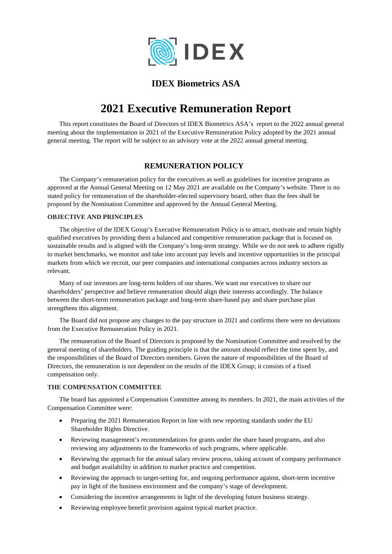

## **IDEX Biometrics ASA**

# **2021 Executive Remuneration Report**

This report constitutes the Board of Directors of IDEX Biometrics ASA's report to the 2022 annual general meeting about the implementation in 2021 of the Executive Remuneration Policy adopted by the 2021 annual general meeting. The report will be subject to an advisory vote at the 2022 annual general meeting.

### **REMUNERATION POLICY**

The Company'[s remuneration](https://www.carlsberggroup.com/media/36692/remuneration-policy_2020.pdf) [policy f](https://www.carlsberggroup.com/media/36692/remuneration-policy_2020.pdf)or the executives as well as guidelines for incentive programs as approved at the Annual General Meeting on 12 May 2021 are available on the Company's website. There is no stated policy for remuneration of the shareholder-elected supervisory board, other than the fees shall be proposed by the Nomination Committee and approved by the Annual General Meeting.

### **OBJECTIVE AND PRINCIPLES**

The objective of the IDEX Group's Executive Remuneration Policy is to attract, motivate and retain highly qualified executives by providing them a balanced and competitive remuneration package that is focused on sustainable results and is aligned with the Company's long-term strategy. While we do not seek to adhere rigidly to market benchmarks, we monitor and take into account pay levels and incentive opportunities in the principal markets from which we recruit, our peer companies and international companies across industry sectors as relevant.

Many of our investors are long-term holders of our shares. We want our executives to share our shareholders' perspective and believe remuneration should align their interests accordingly. The balance between the short-term remuneration package and long-term share-based pay and share purchase plan strengthens this alignment.

The Board did not propose any changes to the pay structure in 2021 and confirms there were no deviations from the Executive Remuneration Policy in 2021.

The remuneration of the Board of Directors is proposed by the Nomination Committee and resolved by the general meeting of shareholders. The guiding principle is that the amount should reflect the time spent by, and the responsibilities of the Board of Directors members. Given the nature of responsibilities of the Board of Directors, the remuneration is not dependent on the results of the IDEX Group; it consists of a fixed compensation only.

### **THE COMPENSATION COMMITTEE**

The board has appointed a Compensation Committee among its members. In 2021, the main activities of the Compensation Committee were:

- Preparing the 2021 Remuneration Report in line with new reporting standards under the EU Shareholder Rights Directive.
- Reviewing management's recommendations for grants under the share based programs, and also reviewing any adjustments to the frameworks of such programs, where applicable.
- Reviewing the approach for the annual salary review process, taking account of company performance and budget availability in addition to market practice and competition.
- Reviewing the approach to target-setting for, and ongoing performance against, short-term incentive pay in light of the business environment and the company's stage of development.
- Considering the incentive arrangements in light of the developing future business strategy.
- Reviewing employee benefit provision against typical market practice.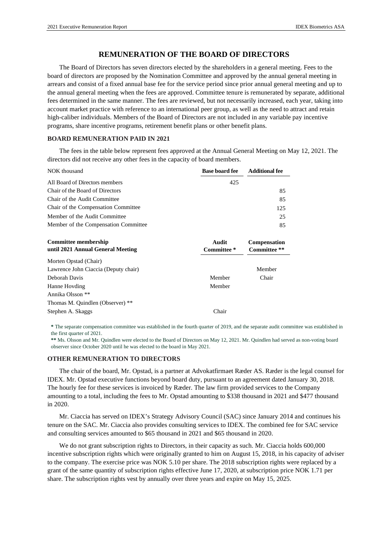### **REMUNERATION OF THE BOARD OF DIRECTORS**

The Board of Directors has seven directors elected by the shareholders in a general meeting. Fees to the board of directors are proposed by the Nomination Committee and approved by the annual general meeting in arrears and consist of a fixed annual base fee for the service period since prior annual general meeting and up to the annual general meeting when the fees are approved. Committee tenure is remunerated by separate, additional fees determined in the same manner. The fees are reviewed, but not necessarily increased, each year, taking into account market practice with reference to an international peer group, as well as the need to attract and retain high-caliber individuals. Members of the Board of Directors are not included in any variable pay incentive programs, share incentive programs, retirement benefit plans or other benefit plans.

#### **BOARD REMUNERATION PAID IN 2021**

The fees in the table below represent fees approved at the Annual General Meeting on May 12, 2021. The directors did not receive any other fees in the capacity of board members.

| NOK thousand                                                     | <b>Base board fee</b> | <b>Additional fee</b>        |
|------------------------------------------------------------------|-----------------------|------------------------------|
| All Board of Directors members                                   | 425                   |                              |
| Chair of the Board of Directors                                  |                       | 85                           |
| Chair of the Audit Committee                                     |                       | 85                           |
| Chair of the Compensation Committee                              |                       | 125                          |
| Member of the Audit Committee                                    |                       | 25                           |
| Member of the Compensation Committee                             |                       | 85                           |
| <b>Committee membership</b><br>until 2021 Annual General Meeting | Audit<br>Committee*   | Compensation<br>Committee ** |
| Morten Opstad (Chair)                                            |                       |                              |
| Lawrence John Ciaccia (Deputy chair)                             |                       | Member                       |
| Deborah Davis                                                    | Member                | Chair                        |
| Hanne Hovding                                                    | Member                |                              |
| Annika Olsson **                                                 |                       |                              |
| Thomas M. Quindlen (Observer) **                                 |                       |                              |
|                                                                  |                       |                              |

**\*** The separate compensation committee was established in the fourth quarter of 2019, and the separate audit committee was established in the first quarter of 2021.

**\*\*** Ms. Olsson and Mr. Quindlen were elected to the Board of Directors on May 12, 2021. Mr. Quindlen had served as non-voting board observer since October 2020 until he was elected to the board in May 2021.

#### **OTHER REMUNERATION TO DIRECTORS**

The chair of the board, Mr. Opstad, is a partner at Advokatfirmaet Ræder AS. Ræder is the legal counsel for IDEX. Mr. Opstad executive functions beyond board duty, pursuant to an agreement dated January 30, 2018. The hourly fee for these services is invoiced by Ræder. The law firm provided services to the Company amounting to a total, including the fees to Mr. Opstad amounting to \$338 thousand in 2021 and \$477 thousand in 2020.

Mr. Ciaccia has served on IDEX's Strategy Advisory Council (SAC) since January 2014 and continues his tenure on the SAC. Mr. Ciaccia also provides consulting services to IDEX. The combined fee for SAC service and consulting services amounted to \$65 thousand in 2021 and \$65 thousand in 2020.

We do not grant subscription rights to Directors, in their capacity as such. Mr. Ciaccia holds 600,000 incentive subscription rights which were originally granted to him on August 15, 2018, in his capacity of adviser to the company. The exercise price was NOK 5.10 per share. The 2018 subscription rights were replaced by a grant of the same quantity of subscription rights effective June 17, 2020, at subscription price NOK 1.71 per share. The subscription rights vest by annually over three years and expire on May 15, 2025.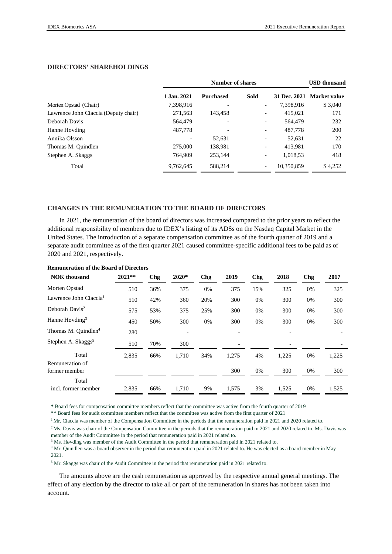### **DIRECTORS' SHAREHOLDINGS**

|                                      |             | <b>USD</b> thousand |                          |            |                           |
|--------------------------------------|-------------|---------------------|--------------------------|------------|---------------------------|
|                                      | 1.Jan. 2021 | <b>Purchased</b>    | <b>Sold</b>              |            | 31 Dec. 2021 Market value |
| Morten Opstad (Chair)                | 7,398,916   |                     | $\overline{a}$           | 7,398,916  | \$3,040                   |
| Lawrence John Ciaccia (Deputy chair) | 271,563     | 143.458             | $\overline{\phantom{a}}$ | 415,021    | 171                       |
| Deborah Davis                        | 564,479     |                     | $\overline{\phantom{a}}$ | 564,479    | 232                       |
| Hanne Hovding                        | 487,778     |                     | ٠                        | 487,778    | 200                       |
| Annika Olsson                        |             | 52,631              | ٠                        | 52,631     | 22                        |
| Thomas M. Quindlen                   | 275,000     | 138,981             | ٠                        | 413,981    | 170                       |
| Stephen A. Skaggs                    | 764,909     | 253.144             |                          | 1,018,53   | 418                       |
| Total                                | 9,762,645   | 588,214             | $\overline{\phantom{a}}$ | 10,350,859 | \$4,252                   |

#### **CHANGES IN THE REMUNERATION TO THE BOARD OF DIRECTORS**

In 2021, the remuneration of the board of directors was increased compared to the prior years to reflect the additional responsibility of members due to IDEX's listing of its ADSs on the Nasdaq Capital Market in the United States. The introduction of a separate compensation committee as of the fourth quarter of 2019 and a separate audit committee as of the first quarter 2021 caused committee-specific additional fees to be paid as of 2020 and 2021, respectively.

| <b>NOK</b> thousand                | $2021**$ | Chg | 2020* | <b>Chg</b> | 2019  | Chg | 2018  | Chg | 2017  |
|------------------------------------|----------|-----|-------|------------|-------|-----|-------|-----|-------|
| Morten Opstad                      | 510      | 36% | 375   | 0%         | 375   | 15% | 325   | 0%  | 325   |
| Lawrence John Ciaccia <sup>1</sup> | 510      | 42% | 360   | 20%        | 300   | 0%  | 300   | 0%  | 300   |
| Deborah Davis <sup>2</sup>         | 575      | 53% | 375   | 25%        | 300   | 0%  | 300   | 0%  | 300   |
| Hanne Høvding <sup>3</sup>         | 450      | 50% | 300   | 0%         | 300   | 0%  | 300   | 0%  | 300   |
| Thomas M. Quindlen <sup>4</sup>    | 280      |     |       |            |       |     |       |     |       |
| Stephen A. Skaggs <sup>5</sup>     | 510      | 70% | 300   |            |       |     |       |     |       |
| Total                              | 2,835    | 66% | 1,710 | 34%        | 1,275 | 4%  | 1,225 | 0%  | 1,225 |
| Remuneration of                    |          |     |       |            |       |     |       |     |       |
| former member                      |          |     |       |            | 300   | 0%  | 300   | 0%  | 300   |
| Total<br>incl. former member       | 2,835    | 66% | 1.710 | 9%         | 1,575 | 3%  | 1,525 | 0%  | 1,525 |

#### **Remuneration of the Board of Directors**

**\*** Board fees for compensation committee members reflect that the committee was active from the fourth quarter of 2019

**\*\*** Board fees for audit committee members reflect that the committee was active from the first quarter of 2021

<sup>1</sup> Mr. Ciaccia was member of the Compensation Committee in the periods that the remuneration paid in 2021 and 2020 related to.

<sup>2</sup>Ms. Davis was chair of the Compensation Committee in the periods that the remuneration paid in 2021 and 2020 related to. Ms. Davis was member of the Audit Committee in the period that remuneration paid in 2021 related to.

<sup>3</sup> Ms. Høvding was member of the Audit Committee in the period that remuneration paid in 2021 related to.

<sup>4</sup> Mr. Quindlen was a board observer in the period that remuneration paid in 2021 related to. He was elected as a board member in May 2021.

<sup>5</sup> Mr. Skaggs was chair of the Audit Committee in the period that remuneration paid in 2021 related to.

The amounts above are the cash remuneration as approved by the respective annual general meetings. The effect of any election by the director to take all or part of the remuneration in shares has not been taken into account.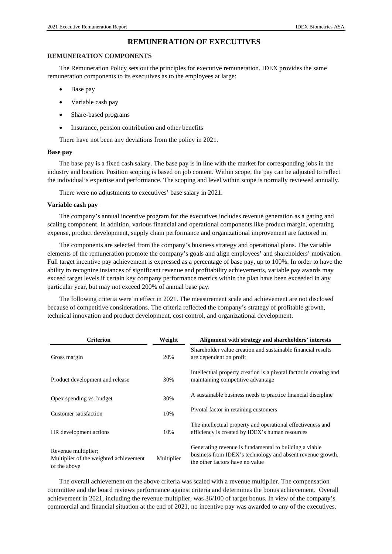### **REMUNERATION OF EXECUTIVES**

#### **REMUNERATION COMPONENTS**

The [Remuneration Policy s](https://www.carlsberggroup.com/media/36692/remuneration-policy_2020.pdf)ets out the principles for executive remuneration. IDEX provides the same remuneration components to its executives as to the employees at large:

- Base pay
- Variable cash pay
- Share-based programs
- Insurance, pension contribution and other benefits

There have not been any deviations from the policy in 2021.

#### **Base pay**

The base pay is a fixed cash salary. The base pay is in line with the market for corresponding jobs in the industry and location. Position scoping is based on job content. Within scope, the pay can be adjusted to reflect the individual's expertise and performance. The scoping and level within scope is normally reviewed annually.

There were no adjustments to executives' base salary in 2021.

#### **Variable cash pay**

The company's annual incentive program for the executives includes revenue generation as a gating and scaling component. In addition, various financial and operational components like product margin, operating expense, product development, supply chain performance and organizational improvement are factored in.

The components are selected from the company's business strategy and operational plans. The variable elements of the remuneration promote the company's goals and align employees' and shareholders' motivation. Full target incentive pay achievement is expressed as a percentage of base pay, up to 100%. In order to have the ability to recognize instances of significant revenue and profitability achievements, variable pay awards may exceed target levels if certain key company performance metrics within the plan have been exceeded in any particular year, but may not exceed 200% of annual base pay.

The following criteria were in effect in 2021. The measurement scale and achievement are not disclosed because of competitive considerations. The criteria reflected the company's strategy of profitable growth, technical innovation and product development, cost control, and organizational development.

| <b>Criterion</b>                                                              | Weight     | Alignment with strategy and shareholders' interests                                                                                                     |  |  |  |  |
|-------------------------------------------------------------------------------|------------|---------------------------------------------------------------------------------------------------------------------------------------------------------|--|--|--|--|
| Gross margin                                                                  | 20%        | Shareholder value creation and sustainable financial results<br>are dependent on profit                                                                 |  |  |  |  |
| Product development and release                                               | 30%        | Intellectual property creation is a pivotal factor in creating and<br>maintaining competitive advantage                                                 |  |  |  |  |
| Opex spending vs. budget                                                      | 30%        | A sustainable business needs to practice financial discipline                                                                                           |  |  |  |  |
| Customer satisfaction                                                         | 10%        | Pivotal factor in retaining customers                                                                                                                   |  |  |  |  |
| HR development actions                                                        | 10%        | The intellectual property and operational effectiveness and<br>efficiency is created by IDEX's human resources                                          |  |  |  |  |
| Revenue multiplier;<br>Multiplier of the weighted achievement<br>of the above | Multiplier | Generating revenue is fundamental to building a viable<br>business from IDEX's technology and absent revenue growth,<br>the other factors have no value |  |  |  |  |

The overall achievement on the above criteria was scaled with a revenue multiplier. The compensation committee and the board reviews performance against criteria and determines the bonus achievement. Overall achievement in 2021, including the revenue multiplier, was 36/100 of target bonus. In view of the company's commercial and financial situation at the end of 2021, no incentive pay was awarded to any of the executives.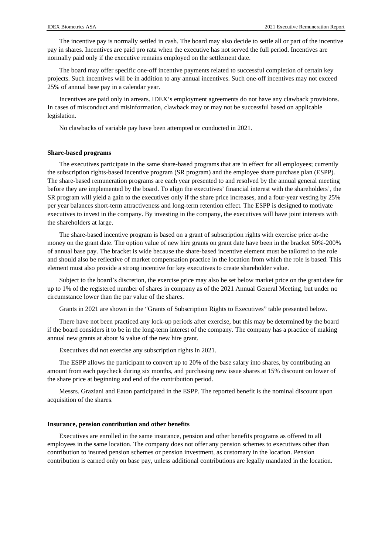The incentive pay is normally settled in cash. The board may also decide to settle all or part of the incentive pay in shares. Incentives are paid pro rata when the executive has not served the full period. Incentives are normally paid only if the executive remains employed on the settlement date.

The board may offer specific one-off incentive payments related to successful completion of certain key projects. Such incentives will be in addition to any annual incentives. Such one-off incentives may not exceed 25% of annual base pay in a calendar year.

Incentives are paid only in arrears. IDEX's employment agreements do not have any clawback provisions. In cases of misconduct and misinformation, clawback may or may not be successful based on applicable legislation.

No clawbacks of variable pay have been attempted or conducted in 2021.

#### **Share-based programs**

The executives participate in the same share-based programs that are in effect for all employees; currently the subscription rights-based incentive program (SR program) and the employee share purchase plan (ESPP). The share-based remuneration programs are each year presented to and resolved by the annual general meeting before they are implemented by the board. To align the executives' financial interest with the shareholders', the SR program will yield a gain to the executives only if the share price increases, and a four-year vesting by 25% per year balances short-term attractiveness and long-term retention effect. The ESPP is designed to motivate executives to invest in the company. By investing in the company, the executives will have joint interests with the shareholders at large.

The share-based incentive program is based on a grant of subscription rights with exercise price at-the money on the grant date. The option value of new hire grants on grant date have been in the bracket 50%-200% of annual base pay. The bracket is wide because the share-based incentive element must be tailored to the role and should also be reflective of market compensation practice in the location from which the role is based. This element must also provide a strong incentive for key executives to create shareholder value.

Subject to the board's discretion, the exercise price may also be set below market price on the grant date for up to 1% of the registered number of shares in company as of the 2021 Annual General Meeting, but under no circumstance lower than the par value of the shares.

Grants in 2021 are shown in the "Grants of Subscription Rights to Executives" table presented below.

There have not been practiced any lock-up periods after exercise, but this may be determined by the board if the board considers it to be in the long-term interest of the company. The company has a practice of making annual new grants at about ¼ value of the new hire grant.

Executives did not exercise any subscription rights in 2021.

The ESPP allows the participant to convert up to 20% of the base salary into shares, by contributing an amount from each paycheck during six months, and purchasing new issue shares at 15% discount on lower of the share price at beginning and end of the contribution period.

Messrs. Graziani and Eaton participated in the ESPP. The reported benefit is the nominal discount upon acquisition of the shares.

#### **Insurance, pension contribution and other benefits**

Executives are enrolled in the same insurance, pension and other benefits programs as offered to all employees in the same location. The company does not offer any pension schemes to executives other than contribution to insured pension schemes or pension investment, as customary in the location. Pension contribution is earned only on base pay, unless additional contributions are legally mandated in the location.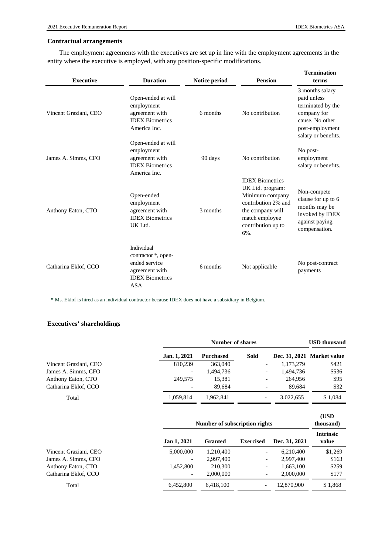### **Contractual arrangements**

The employment agreements with the executives are set up in line with the employment agreements in the entity where the executive is employed, with any position-specific modifications.

| <b>Executive</b>      | <b>Duration</b>                                                                                              | Notice period | <b>Pension</b>                                                                                                                                          | <b>Termination</b><br>terms                                                                                                     |
|-----------------------|--------------------------------------------------------------------------------------------------------------|---------------|---------------------------------------------------------------------------------------------------------------------------------------------------------|---------------------------------------------------------------------------------------------------------------------------------|
| Vincent Graziani, CEO | Open-ended at will<br>employment<br>agreement with<br><b>IDEX Biometrics</b><br>America Inc.                 | 6 months      | No contribution                                                                                                                                         | 3 months salary<br>paid unless<br>terminated by the<br>company for<br>cause. No other<br>post-employment<br>salary or benefits. |
| James A. Simms, CFO   | Open-ended at will<br>employment<br>agreement with<br><b>IDEX Biometrics</b><br>America Inc.                 | 90 days       | No contribution                                                                                                                                         | No post-<br>employment<br>salary or benefits.                                                                                   |
| Anthony Eaton, CTO    | Open-ended<br>employment<br>agreement with<br><b>IDEX Biometrics</b><br>UK Ltd.                              | 3 months      | <b>IDEX Biometrics</b><br>UK Ltd. program:<br>Minimum company<br>contribution 2% and<br>the company will<br>match employee<br>contribution up to<br>6%. | Non-compete<br>clause for up to 6<br>months may be<br>invoked by IDEX<br>against paying<br>compensation.                        |
| Catharina Eklof, CCO  | Individual<br>contractor *, open-<br>ended service<br>agreement with<br><b>IDEX Biometrics</b><br><b>ASA</b> | 6 months      | Not applicable                                                                                                                                          | No post-contract<br>payments                                                                                                    |

**\*** Ms. Eklof is hired as an individual contractor because IDEX does not have a subsidiary in Belgium.

### **Executives' shareholdings**

|                       |                          | Number of shares |                          |           |                            |  |  |  |
|-----------------------|--------------------------|------------------|--------------------------|-----------|----------------------------|--|--|--|
|                       | Jan. 1, 2021             | <b>Purchased</b> | Sold                     |           | Dec. 31, 2021 Market value |  |  |  |
| Vincent Graziani, CEO | 810,239                  | 363,040          | $\overline{\phantom{a}}$ | 1,173,279 | \$421                      |  |  |  |
| James A. Simms, CFO   | $\overline{\phantom{a}}$ | 1,494,736        | -                        | 1,494,736 | \$536                      |  |  |  |
| Anthony Eaton, CTO    | 249,575                  | 15,381           | $\overline{\phantom{0}}$ | 264,956   | \$95                       |  |  |  |
| Catharina Eklof, CCO  | $\overline{\phantom{a}}$ | 89.684           | $\overline{\phantom{a}}$ | 89.684    | \$32                       |  |  |  |
| Total                 | 1.059.814                | 1.962.841        | $\overline{\phantom{a}}$ | 3.022.655 | \$1,084                    |  |  |  |

|                       | Number of subscription rights |           |                          |               |                           |  |  |  |
|-----------------------|-------------------------------|-----------|--------------------------|---------------|---------------------------|--|--|--|
|                       | Jan 1, 2021                   | Granted   | <b>Exercised</b>         | Dec. 31, 2021 | <b>Intrinsic</b><br>value |  |  |  |
| Vincent Graziani, CEO | 5,000,000                     | 1.210.400 | -                        | 6.210.400     | \$1,269                   |  |  |  |
| James A. Simms, CFO   | $\overline{\phantom{a}}$      | 2,997,400 | -                        | 2.997.400     | \$163                     |  |  |  |
| Anthony Eaton, CTO    | 1.452.800                     | 210,300   | -                        | 1,663,100     | \$259                     |  |  |  |
| Catharina Eklof, CCO  | $\overline{\phantom{a}}$      | 2,000,000 | -                        | 2,000,000     | \$177                     |  |  |  |
| Total                 | 6,452,800                     | 6,418,100 | $\overline{\phantom{a}}$ | 12,870,900    | \$1,868                   |  |  |  |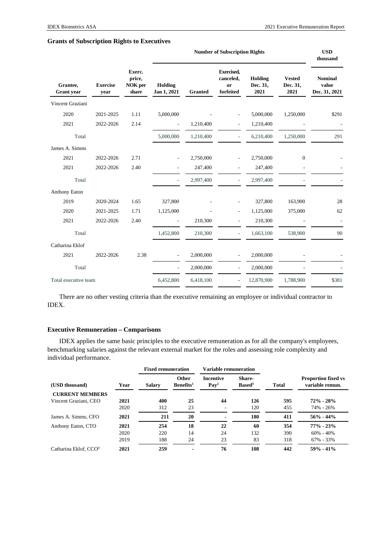|                               |                                                                 |      |                        | <b>USD</b><br>thousand |                                                   |                             |                                   |                                          |
|-------------------------------|-----------------------------------------------------------------|------|------------------------|------------------------|---------------------------------------------------|-----------------------------|-----------------------------------|------------------------------------------|
| Grantee,<br><b>Grant</b> year | Exerc.<br>price,<br><b>Exercise</b><br>NOK per<br>share<br>year |      | Holding<br>Jan 1, 2021 | <b>Granted</b>         | <b>Exercised,</b><br>canceled,<br>or<br>forfeited | Holding<br>Dec. 31,<br>2021 | <b>Vested</b><br>Dec. 31,<br>2021 | <b>Nominal</b><br>value<br>Dec. 31, 2021 |
| Vincent Graziani              |                                                                 |      |                        |                        |                                                   |                             |                                   |                                          |
| 2020                          | 2021-2025                                                       | 1.11 | 5,000,000              |                        | ٠                                                 | 5,000,000                   | 1,250,000                         | \$291                                    |
| 2021                          | 2022-2026                                                       | 2.14 |                        | 1,210,400              | ٠                                                 | 1,210,400                   |                                   |                                          |
| Total                         |                                                                 |      | 5,000,000              | 1,210,400              |                                                   | 6,210,400                   | 1,250,000                         | 291                                      |
| James A. Simms                |                                                                 |      |                        |                        |                                                   |                             |                                   |                                          |
| 2021                          | 2022-2026                                                       | 2.71 |                        | 2,750,000              |                                                   | 2,750,000                   | $\boldsymbol{0}$                  |                                          |
| 2021                          | 2022-2026                                                       | 2.40 |                        | 247,400                |                                                   | 247,400                     |                                   |                                          |
| Total                         |                                                                 |      |                        | 2,997,400              |                                                   | 2,997,400                   |                                   |                                          |
| Anthony Eaton                 |                                                                 |      |                        |                        |                                                   |                             |                                   |                                          |
| 2019                          | 2020-2024                                                       | 1.65 | 327,800                |                        |                                                   | 327,800                     | 163,900                           | 28                                       |
| 2020                          | 2021-2025                                                       | 1.71 | 1,125,000              |                        | ٠                                                 | 1,125,000                   | 375,000                           | 62                                       |
| 2021                          | 2022-2026                                                       | 2.40 |                        | 210,300                | $\overline{\phantom{m}}$                          | 210,300                     |                                   |                                          |
| Total                         |                                                                 |      | 1,452,800              | 210,300                | ÷.                                                | 1,663,100                   | 538,900                           | 90                                       |
| Catharina Eklof               |                                                                 |      |                        |                        |                                                   |                             |                                   |                                          |
| 2021                          | 2022-2026                                                       | 2.38 | $\overline{a}$         | 2,000,000              |                                                   | 2,000,000                   |                                   |                                          |
| Total                         |                                                                 |      |                        | 2,000,000              |                                                   | 2,000,000                   |                                   |                                          |
| Total executive team          |                                                                 |      | 6,452,800              | 6,418,100              |                                                   | 12,870,900                  | 1,788,900                         | \$381                                    |

### **Grants of Subscription Rights to Executives**

There are no other vesting criteria than the executive remaining an employee or individual contractor to IDEX.

### **Executive Remuneration – Comparisons**

IDEX applies the same basic principles to the executive remuneration as for all the company's employees, benchmarking salaries against the relevant external market for the roles and assessing role complexity and individual performance.

|                                   |                       | <b>Fixed remuneration</b> |                                       | <b>Variable remuneration</b>                                                |     |              |                                               |  |
|-----------------------------------|-----------------------|---------------------------|---------------------------------------|-----------------------------------------------------------------------------|-----|--------------|-----------------------------------------------|--|
| (USD thousand)                    | <b>Salary</b><br>Year |                           | <b>Other</b><br>Benefits <sup>1</sup> | Share-<br><b>Incentive</b><br>$\mathbf{Pav}^2$<br><b>Based</b> <sup>3</sup> |     | <b>Total</b> | <b>Proportion fixed vs</b><br>variable remun. |  |
| <b>CURRENT MEMBERS</b>            |                       |                           |                                       |                                                                             |     |              |                                               |  |
| Vincent Graziani, CEO             | 2021                  | 400                       | 25                                    | 44                                                                          | 126 | 595          | $72\% - 28\%$                                 |  |
|                                   | 2020                  | 312                       | 23                                    |                                                                             | 120 | 455          | 74% - 26%                                     |  |
| James A. Simms, CFO               | 2021                  | 211                       | 20                                    |                                                                             | 180 | 411          | $56\% - 44\%$                                 |  |
| Anthony Eaton, CTO                | 2021                  | 254                       | 18                                    | 22                                                                          | 60  | 354          | $77\% - 23\%$                                 |  |
|                                   | 2020                  | 220                       | 14                                    | 24                                                                          | 132 | 390          | $60\% - 40\%$                                 |  |
|                                   | 2019                  | 188                       | 24                                    | 23                                                                          | 83  | 318          | $67\% - 33\%$                                 |  |
| Catharina Eklof, CCO <sup>4</sup> | 2021                  | 259                       |                                       | 76                                                                          | 108 | 442          | $59\% - 41\%$                                 |  |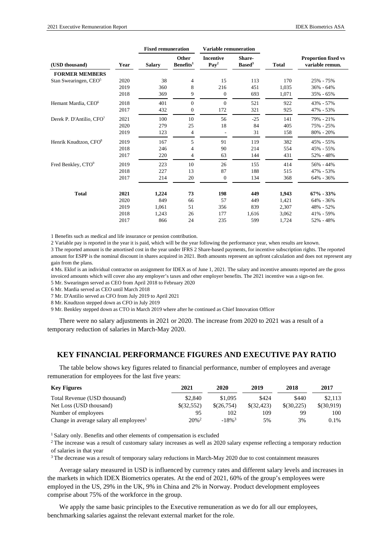|                                      |      |               | <b>Fixed remuneration</b>      |                                      | <b>Variable remuneration</b> |              |                                               |
|--------------------------------------|------|---------------|--------------------------------|--------------------------------------|------------------------------|--------------|-----------------------------------------------|
| (USD thousand)                       | Year | <b>Salary</b> | Other<br>Benefits <sup>1</sup> | <b>Incentive</b><br>Pay <sup>2</sup> | Share-<br>Based <sup>3</sup> | <b>Total</b> | <b>Proportion fixed vs</b><br>variable remun. |
| <b>FORMER MEMBERS</b>                |      |               |                                |                                      |                              |              |                                               |
| Stan Swearingen, CEO <sup>5</sup>    | 2020 | 38            | $\overline{4}$                 | 15                                   | 113                          | 170          | 25% - 75%                                     |
|                                      | 2019 | 360           | 8                              | 216                                  | 451                          | 1,035        | $36\% - 64\%$                                 |
|                                      | 2018 | 369           | 9                              | $\mathbf{0}$                         | 693                          | 1,071        | 35% - 65%                                     |
| Hemant Mardia, CEO <sup>6</sup>      | 2018 | 401           | $\Omega$                       | $\mathbf{0}$                         | 521                          | 922          | 43% - 57%                                     |
|                                      | 2017 | 432           | $\overline{0}$                 | 172                                  | 321                          | 925          | 47% - 53%                                     |
| Derek P. D'Antilio, CFO <sup>7</sup> | 2021 | 100           | 10                             | 56                                   | $-25$                        | 141          | 79% - 21%                                     |
|                                      | 2020 | 279           | 25                             | 18                                   | 84                           | 405          | 75% - 25%                                     |
|                                      | 2019 | 123           | 4                              |                                      | 31                           | 158          | $80\% - 20\%$                                 |
| Henrik Knudtzon, CFO <sup>8</sup>    | 2019 | 167           | 5                              | 91                                   | 119                          | 382          | 45% - 55%                                     |
|                                      | 2018 | 246           | 4                              | 90                                   | 214                          | 554          | 45% - 55%                                     |
|                                      | 2017 | 220           | 4                              | 63                                   | 144                          | 431          | 52% - 48%                                     |
| Fred Benkley, CTO <sup>9</sup>       | 2019 | 223           | 10                             | 26                                   | 155                          | 414          | 56% - 44%                                     |
|                                      | 2018 | 227           | 13                             | 87                                   | 188                          | 515          | 47% - 53%                                     |
|                                      | 2017 | 214           | 20                             | $\mathbf{0}$                         | 134                          | 368          | 64% - 36%                                     |
| <b>Total</b>                         | 2021 | 1,224         | 73                             | 198                                  | 449                          | 1,943        | $67\% - 33\%$                                 |
|                                      | 2020 | 849           | 66                             | 57                                   | 449                          | 1,421        | 64% - 36%                                     |
|                                      | 2019 | 1.061         | 51                             | 356                                  | 839                          | 2,307        | 48% - 52%                                     |
|                                      | 2018 | 1,243         | 26                             | 177                                  | 1,616                        | 3,062        | 41% - 59%                                     |
|                                      | 2017 | 866           | 24                             | 235                                  | 599                          | 1,724        | 52% - 48%                                     |

1 Benefits such as medical and life insurance or pension contribution.

2 Variable pay is reported in the year it is paid, which will be the year following the performance year, when results are known.

3 The reported amount is the amortised cost in the year under IFRS 2 Share-based payments, for incentive subscription rights. The reported amount for ESPP is the nominal discount in shares acquired in 2021. Both amounts represent an upfront calculation and does not represent any gain from the plans.

4 Ms. Eklof is an individual contractor on assignment for IDEX as of June 1, 2021. The salary and incentive amounts reported are the gross invoiced amounts which will cover also any employer's taxes and other employer benefits. The 2021 incentive was a sign-on fee.

5 Mr. Swearingen served as CEO from April 2018 to February 2020

6 Mr. Mardia served as CEO until March 2018

7 Mr. D'Antilio served as CFO from July 2019 to April 2021

8 Mr. Knudtzon stepped down as CFO in July 2019

9 Mr. Benkley stepped down as CTO in March 2019 where after he continued as Chief Innovation Officer

There were no salary adjustments in 2021 or 2020. The increase from 2020 to 2021 was a result of a temporary reduction of salaries in March-May 2020.

### **KEY FINANCIAL PERFORMANCE FIGURES AND EXECUTIVE PAY RATIO**

The table below shows key figures related to financial performance, number of employees and average remuneration for employees for the last five years:

| <b>Key Figures</b>                                  | 2021                | 2020                 | 2019        | 2018       | 2017       |
|-----------------------------------------------------|---------------------|----------------------|-------------|------------|------------|
| Total Revenue (USD thousand)                        | \$2,840             | \$1,095              | \$424       | \$440      | \$2.113    |
| Net Loss (USD thousand)                             | \$(32,552)          | \$(26,754)           | \$ (32.423) | \$(30,225) | \$(30,919) |
| Number of employees                                 | 95                  | 102                  | 109         | 99         | 100        |
| Change in average salary all employees <sup>1</sup> | $20\%$ <sup>2</sup> | $-18\%$ <sup>3</sup> | 5%          | 3%         | $0.1\%$    |

<sup>1</sup> Salary only. Benefits and other elements of compensation is excluded

<sup>2</sup> The increase was a result of customary salary increases as well as 2020 salary expense reflecting a temporary reduction of salaries in that year

3 The decrease was a result of temporary salary reductions in March-May 2020 due to cost containment measures

Average salary measured in USD is influenced by currency rates and different salary levels and increases in the markets in which IDEX Biometrics operates. At the end of 2021, 60% of the group's employees were employed in the US, 29% in the UK, 9% in China and 2% in Norway. Product development employees comprise about 75% of the workforce in the group.

We apply the same basic principles to the Executive remuneration as we do for all our employees, benchmarking salaries against the relevant external market for the role.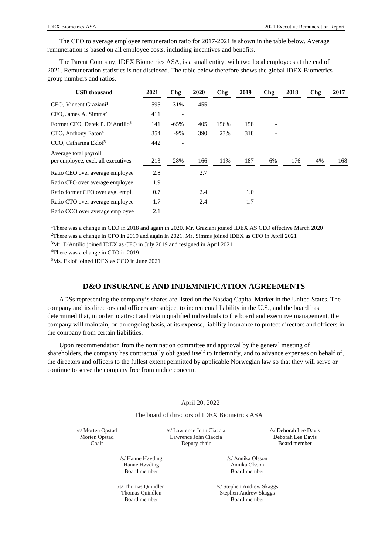The CEO to average employee remuneration ratio for 2017-2021 is shown in the table below. Average remuneration is based on all employee costs, including incentives and benefits.

The Parent Company, IDEX Biometrics ASA, is a small entity, with two local employees at the end of 2021. Remuneration statistics is not disclosed. The table below therefore shows the global IDEX Biometrics group numbers and ratios.

| <b>USD</b> thousand                                         | 2021 | Chg    | 2020 | Chg     | 2019 | Chg | 2018 | Chg | 2017 |
|-------------------------------------------------------------|------|--------|------|---------|------|-----|------|-----|------|
| CEO, Vincent Graziani <sup>1</sup>                          | 595  | 31%    | 455  |         |      |     |      |     |      |
| CFO. James A. Simms <sup>2</sup>                            | 411  |        |      |         |      |     |      |     |      |
| Former CFO, Derek P. D'Antilio <sup>3</sup>                 | 141  | $-65%$ | 405  | 156%    | 158  |     |      |     |      |
| CTO, Anthony Eaton <sup>4</sup>                             | 354  | $-9%$  | 390  | 23%     | 318  |     |      |     |      |
| CCO, Catharina Eklof <sup>5</sup>                           | 442  |        |      |         |      |     |      |     |      |
| Average total payroll<br>per employee, excl. all executives | 213  | 28%    | 166  | $-11\%$ | 187  | 6%  | 176  | 4%  | 168  |
| Ratio CEO over average employee                             | 2.8  |        | 2.7  |         |      |     |      |     |      |
| Ratio CFO over average employee                             | 1.9  |        |      |         |      |     |      |     |      |
| Ratio former CFO over avg. empl.                            | 0.7  |        | 2.4  |         | 1.0  |     |      |     |      |
| Ratio CTO over average employee                             | 1.7  |        | 2.4  |         | 1.7  |     |      |     |      |
| Ratio CCO over average employee                             | 2.1  |        |      |         |      |     |      |     |      |

<sup>1</sup>There was a change in CEO in 2018 and again in 2020. Mr. Graziani joined IDEX AS CEO effective March 2020 <sup>2</sup>There was a change in CFO in 2019 and again in 2021. Mr. Simms joined IDEX as CFO in April 2021

<sup>3</sup>Mr. D'Antilio joined IDEX as CFO in July 2019 and resigned in April 2021

<sup>4</sup>There was a change in CTO in 2019

5 Ms. Eklof joined IDEX as CCO in June 2021

### **D&O INSURANCE AND INDEMNIFICATION AGREEMENTS**

ADSs representing the company's shares are listed on the Nasdaq Capital Market in the United States. The company and its directors and officers are subject to incremental liability in the U.S., and the board has determined that, in order to attract and retain qualified individuals to the board and executive management, the company will maintain, on an ongoing basis, at its expense, liability insurance to protect directors and officers in the company from certain liabilities.

Upon recommendation from the nomination committee and approval by the general meeting of shareholders, the company has contractually obligated itself to indemnify, and to advance expenses on behalf of, the directors and officers to the fullest extent permitted by applicable Norwegian law so that they will serve or continue to serve the company free from undue concern.

#### April 20, 2022

The board of directors of IDEX Biometrics ASA

/s/ Morten Opstad Morten Opstad Chair

/s/ Lawrence John Ciaccia Lawrence John Ciaccia Deputy chair

/s/ Deborah Lee Davis Deborah Lee Davis Board member

/s/ Hanne Høvding Hanne Høvding Board member

/s/ Thomas Quindlen Thomas Quindlen Board member

/s/ Annika Olsson Annika Olsson Board member

/s/ Stephen Andrew Skaggs Stephen Andrew Skaggs Board member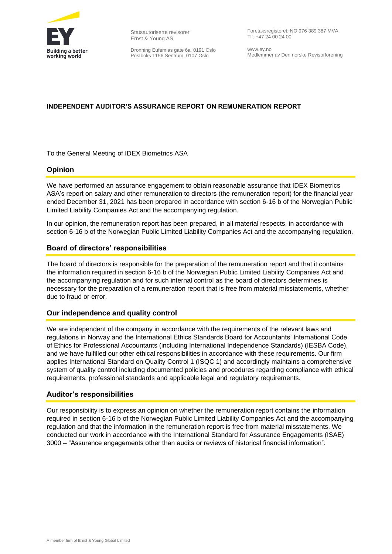

Statsautoriserte revisorer Ernst & Young AS

Dronning Eufemias gate 6a, 0191 Oslo Postboks 1156 Sentrum, 0107 Oslo

Foretaksregisteret: NO 976 389 387 MVA Tlf: +47 24 00 24 00

www.ey.no Medlemmer av Den norske Revisorforening

### **INDEPENDENT AUDITOR'S ASSURANCE REPORT ON REMUNERATION REPORT**

To the General Meeting of IDEX Biometrics ASA

### **Opinion**

We have performed an assurance engagement to obtain reasonable assurance that IDEX Biometrics ASA's report on salary and other remuneration to directors (the remuneration report) for the financial year ended December 31, 2021 has been prepared in accordance with section 6-16 b of the Norwegian Public Limited Liability Companies Act and the accompanying regulation.

In our opinion, the remuneration report has been prepared, in all material respects, in accordance with section 6-16 b of the Norwegian Public Limited Liability Companies Act and the accompanying regulation.

### **Board of directors' responsibilities**

The board of directors is responsible for the preparation of the remuneration report and that it contains the information required in section 6-16 b of the Norwegian Public Limited Liability Companies Act and the accompanying regulation and for such internal control as the board of directors determines is necessary for the preparation of a remuneration report that is free from material misstatements, whether due to fraud or error.

### **Our independence and quality control**

We are independent of the company in accordance with the requirements of the relevant laws and regulations in Norway and the International Ethics Standards Board for Accountants' International Code of Ethics for Professional Accountants (including International Independence Standards) (IESBA Code), and we have fulfilled our other ethical responsibilities in accordance with these requirements. Our firm applies International Standard on Quality Control 1 (ISQC 1) and accordingly maintains a comprehensive system of quality control including documented policies and procedures regarding compliance with ethical requirements, professional standards and applicable legal and regulatory requirements.

### **Auditor's responsibilities**

Our responsibility is to express an opinion on whether the remuneration report contains the information required in section 6-16 b of the Norwegian Public Limited Liability Companies Act and the accompanying regulation and that the information in the remuneration report is free from material misstatements. We conducted our work in accordance with the International Standard for Assurance Engagements (ISAE) 3000 – "Assurance engagements other than audits or reviews of historical financial information".